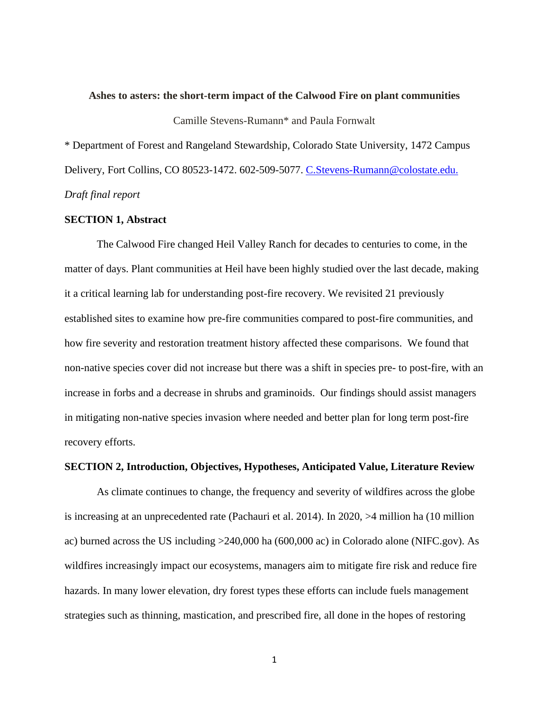#### **Ashes to asters: the short-term impact of the Calwood Fire on plant communities**

Camille Stevens-Rumann\* and Paula Fornwalt

\* Department of Forest and Rangeland Stewardship, Colorado State University, 1472 Campus Delivery, Fort Collins, CO 80523-1472. 602-509-5077. [C.Stevens-Rumann@colostate.edu.](mailto:C.Stevens-Rumann@colostate.edu) *Draft final report*

# **SECTION 1, Abstract**

The Calwood Fire changed Heil Valley Ranch for decades to centuries to come, in the matter of days. Plant communities at Heil have been highly studied over the last decade, making it a critical learning lab for understanding post-fire recovery. We revisited 21 previously established sites to examine how pre-fire communities compared to post-fire communities, and how fire severity and restoration treatment history affected these comparisons. We found that non-native species cover did not increase but there was a shift in species pre- to post-fire, with an increase in forbs and a decrease in shrubs and graminoids. Our findings should assist managers in mitigating non-native species invasion where needed and better plan for long term post-fire recovery efforts.

## **SECTION 2, Introduction, Objectives, Hypotheses, Anticipated Value, Literature Review**

As climate continues to change, the frequency and severity of wildfires across the globe is increasing at an unprecedented rate (Pachauri et al. 2014). In 2020, >4 million ha (10 million ac) burned across the US including >240,000 ha (600,000 ac) in Colorado alone (NIFC.gov). As wildfires increasingly impact our ecosystems, managers aim to mitigate fire risk and reduce fire hazards. In many lower elevation, dry forest types these efforts can include fuels management strategies such as thinning, mastication, and prescribed fire, all done in the hopes of restoring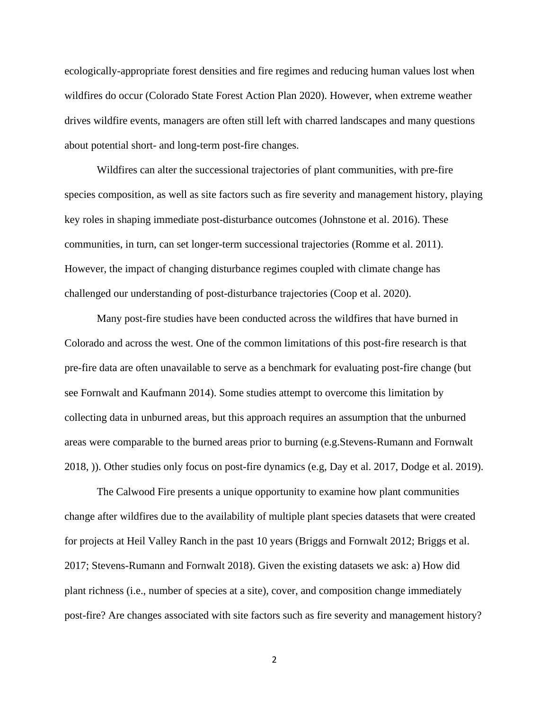ecologically-appropriate forest densities and fire regimes and reducing human values lost when wildfires do occur (Colorado State Forest Action Plan 2020). However, when extreme weather drives wildfire events, managers are often still left with charred landscapes and many questions about potential short- and long-term post-fire changes.

Wildfires can alter the successional trajectories of plant communities, with pre-fire species composition, as well as site factors such as fire severity and management history, playing key roles in shaping immediate post-disturbance outcomes (Johnstone et al. 2016). These communities, in turn, can set longer-term successional trajectories (Romme et al. 2011). However, the impact of changing disturbance regimes coupled with climate change has challenged our understanding of post-disturbance trajectories (Coop et al. 2020).

Many post-fire studies have been conducted across the wildfires that have burned in Colorado and across the west. One of the common limitations of this post-fire research is that pre-fire data are often unavailable to serve as a benchmark for evaluating post-fire change (but see Fornwalt and Kaufmann 2014). Some studies attempt to overcome this limitation by collecting data in unburned areas, but this approach requires an assumption that the unburned areas were comparable to the burned areas prior to burning (e.g.Stevens-Rumann and Fornwalt 2018, )). Other studies only focus on post-fire dynamics (e.g, Day et al. 2017, Dodge et al. 2019).

The Calwood Fire presents a unique opportunity to examine how plant communities change after wildfires due to the availability of multiple plant species datasets that were created for projects at Heil Valley Ranch in the past 10 years (Briggs and Fornwalt 2012; Briggs et al. 2017; Stevens-Rumann and Fornwalt 2018). Given the existing datasets we ask: a) How did plant richness (i.e., number of species at a site), cover, and composition change immediately post-fire? Are changes associated with site factors such as fire severity and management history?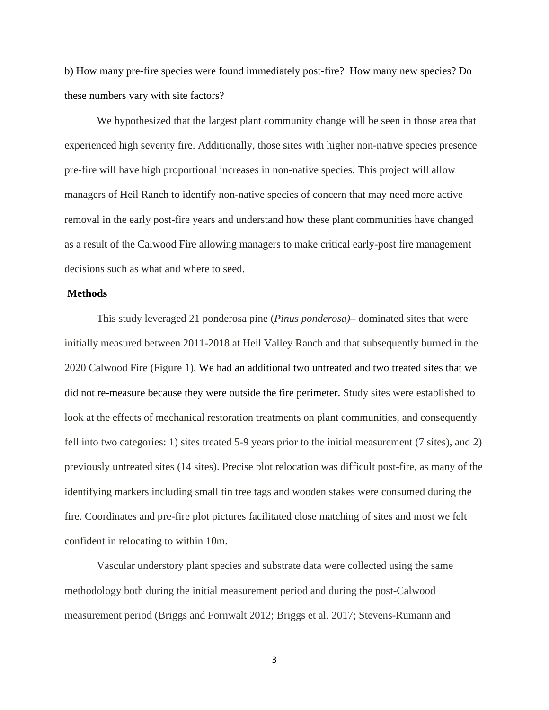b) How many pre-fire species were found immediately post-fire? How many new species? Do these numbers vary with site factors?

We hypothesized that the largest plant community change will be seen in those area that experienced high severity fire. Additionally, those sites with higher non-native species presence pre-fire will have high proportional increases in non-native species. This project will allow managers of Heil Ranch to identify non-native species of concern that may need more active removal in the early post-fire years and understand how these plant communities have changed as a result of the Calwood Fire allowing managers to make critical early-post fire management decisions such as what and where to seed.

## **Methods**

This study leveraged 21 ponderosa pine (*Pinus ponderosa)*– dominated sites that were initially measured between 2011-2018 at Heil Valley Ranch and that subsequently burned in the 2020 Calwood Fire (Figure 1). We had an additional two untreated and two treated sites that we did not re-measure because they were outside the fire perimeter. Study sites were established to look at the effects of mechanical restoration treatments on plant communities, and consequently fell into two categories: 1) sites treated 5-9 years prior to the initial measurement (7 sites), and 2) previously untreated sites (14 sites). Precise plot relocation was difficult post-fire, as many of the identifying markers including small tin tree tags and wooden stakes were consumed during the fire. Coordinates and pre-fire plot pictures facilitated close matching of sites and most we felt confident in relocating to within 10m.

Vascular understory plant species and substrate data were collected using the same methodology both during the initial measurement period and during the post-Calwood measurement period (Briggs and Fornwalt 2012; Briggs et al. 2017; Stevens-Rumann and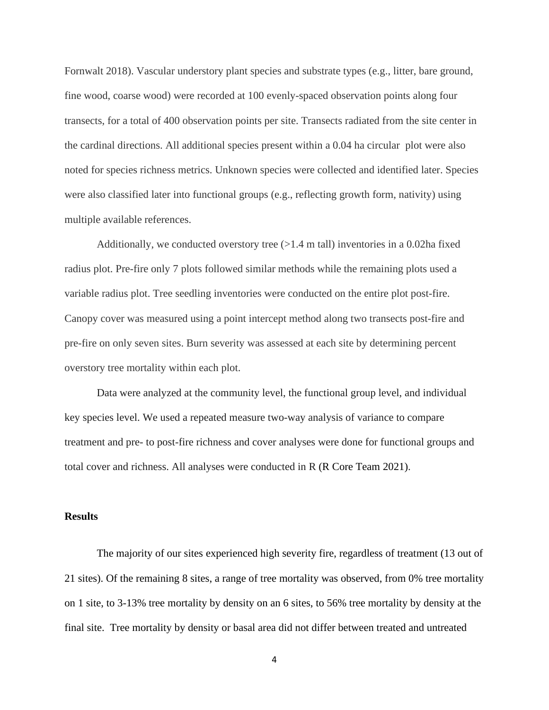Fornwalt 2018). Vascular understory plant species and substrate types (e.g., litter, bare ground, fine wood, coarse wood) were recorded at 100 evenly-spaced observation points along four transects, for a total of 400 observation points per site. Transects radiated from the site center in the cardinal directions. All additional species present within a 0.04 ha circular plot were also noted for species richness metrics. Unknown species were collected and identified later. Species were also classified later into functional groups (e.g., reflecting growth form, nativity) using multiple available references.

Additionally, we conducted overstory tree  $(>1.4 \text{ m tall})$  inventories in a 0.02ha fixed radius plot. Pre-fire only 7 plots followed similar methods while the remaining plots used a variable radius plot. Tree seedling inventories were conducted on the entire plot post-fire. Canopy cover was measured using a point intercept method along two transects post-fire and pre-fire on only seven sites. Burn severity was assessed at each site by determining percent overstory tree mortality within each plot.

Data were analyzed at the community level, the functional group level, and individual key species level. We used a repeated measure two-way analysis of variance to compare treatment and pre- to post-fire richness and cover analyses were done for functional groups and total cover and richness. All analyses were conducted in R (R Core Team 2021).

#### **Results**

The majority of our sites experienced high severity fire, regardless of treatment (13 out of 21 sites). Of the remaining 8 sites, a range of tree mortality was observed, from 0% tree mortality on 1 site, to 3-13% tree mortality by density on an 6 sites, to 56% tree mortality by density at the final site. Tree mortality by density or basal area did not differ between treated and untreated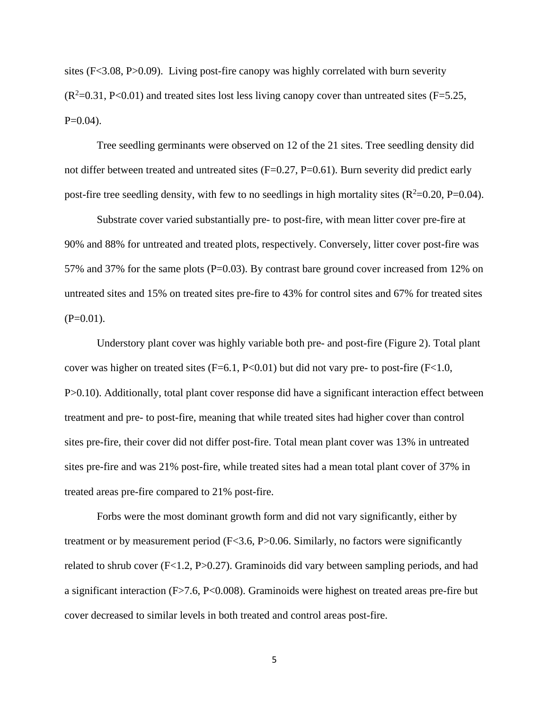sites (F<3.08, P>0.09). Living post-fire canopy was highly correlated with burn severity  $(R^2=0.31, P<0.01)$  and treated sites lost less living canopy cover than untreated sites (F=5.25,  $P=0.04$ ).

Tree seedling germinants were observed on 12 of the 21 sites. Tree seedling density did not differ between treated and untreated sites (F=0.27, P=0.61). Burn severity did predict early post-fire tree seedling density, with few to no seedlings in high mortality sites  $(R^2=0.20, P=0.04)$ .

Substrate cover varied substantially pre- to post-fire, with mean litter cover pre-fire at 90% and 88% for untreated and treated plots, respectively. Conversely, litter cover post-fire was 57% and 37% for the same plots (P=0.03). By contrast bare ground cover increased from 12% on untreated sites and 15% on treated sites pre-fire to 43% for control sites and 67% for treated sites  $(P=0.01)$ .

Understory plant cover was highly variable both pre- and post-fire (Figure 2). Total plant cover was higher on treated sites  $(F=6.1, P<0.01)$  but did not vary pre- to post-fire  $(F<1.0,$ P>0.10). Additionally, total plant cover response did have a significant interaction effect between treatment and pre- to post-fire, meaning that while treated sites had higher cover than control sites pre-fire, their cover did not differ post-fire. Total mean plant cover was 13% in untreated sites pre-fire and was 21% post-fire, while treated sites had a mean total plant cover of 37% in treated areas pre-fire compared to 21% post-fire.

Forbs were the most dominant growth form and did not vary significantly, either by treatment or by measurement period (F<3.6, P>0.06. Similarly, no factors were significantly related to shrub cover (F<1.2, P>0.27). Graminoids did vary between sampling periods, and had a significant interaction (F>7.6, P<0.008). Graminoids were highest on treated areas pre-fire but cover decreased to similar levels in both treated and control areas post-fire.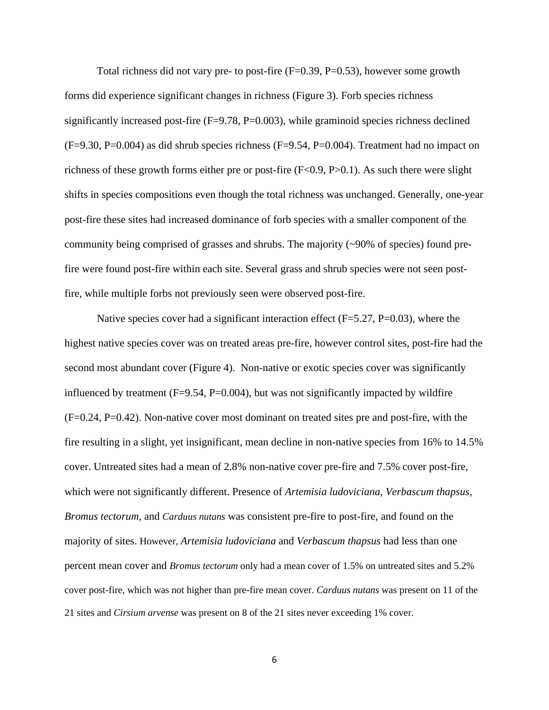Total richness did not vary pre- to post-fire (F=0.39, P=0.53), however some growth forms did experience significant changes in richness (Figure 3). Forb species richness significantly increased post-fire  $(F=9.78, P=0.003)$ , while graminoid species richness declined  $(F=9.30, P=0.004)$  as did shrub species richness  $(F=9.54, P=0.004)$ . Treatment had no impact on richness of these growth forms either pre or post-fire (F<0.9, P>0.1). As such there were slight shifts in species compositions even though the total richness was unchanged. Generally, one-year post-fire these sites had increased dominance of forb species with a smaller component of the community being comprised of grasses and shrubs. The majority (~90% of species) found prefire were found post-fire within each site. Several grass and shrub species were not seen postfire, while multiple forbs not previously seen were observed post-fire.

Native species cover had a significant interaction effect ( $F=5.27$ ,  $P=0.03$ ), where the highest native species cover was on treated areas pre-fire, however control sites, post-fire had the second most abundant cover (Figure 4). Non-native or exotic species cover was significantly influenced by treatment  $(F=9.54, P=0.004)$ , but was not significantly impacted by wildfire (F=0.24, P=0.42). Non-native cover most dominant on treated sites pre and post-fire, with the fire resulting in a slight, yet insignificant, mean decline in non-native species from 16% to 14.5% cover. Untreated sites had a mean of 2.8% non-native cover pre-fire and 7.5% cover post-fire, which were not significantly different. Presence of *Artemisia ludoviciana, Verbascum thapsus, Bromus tectorum,* and *Carduus nutans* was consistent pre-fire to post-fire, and found on the majority of sites. However, *Artemisia ludoviciana* and *Verbascum thapsus* had less than one percent mean cover and *Bromus tectorum* only had a mean cover of 1.5% on untreated sites and 5.2% cover post-fire, which was not higher than pre-fire mean cover. *Carduus nutans* was present on 11 of the 21 sites and *Cirsium arvense* was present on 8 of the 21 sites never exceeding 1% cover.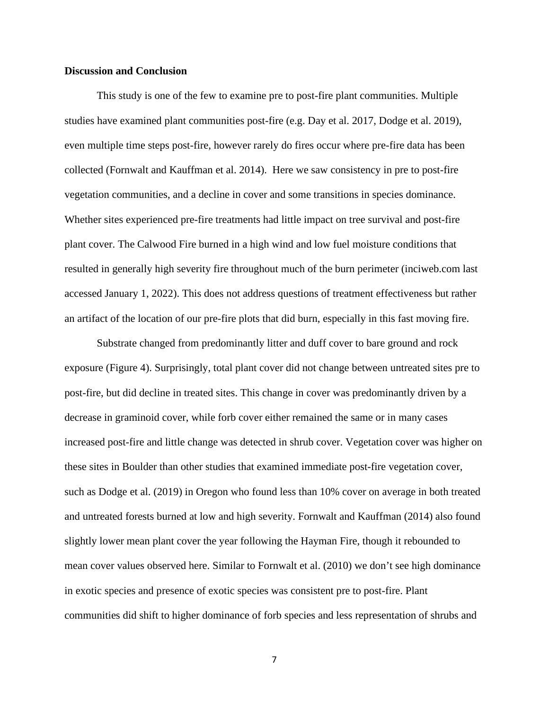## **Discussion and Conclusion**

This study is one of the few to examine pre to post-fire plant communities. Multiple studies have examined plant communities post-fire (e.g. Day et al. 2017, Dodge et al. 2019), even multiple time steps post-fire, however rarely do fires occur where pre-fire data has been collected (Fornwalt and Kauffman et al. 2014). Here we saw consistency in pre to post-fire vegetation communities, and a decline in cover and some transitions in species dominance. Whether sites experienced pre-fire treatments had little impact on tree survival and post-fire plant cover. The Calwood Fire burned in a high wind and low fuel moisture conditions that resulted in generally high severity fire throughout much of the burn perimeter (inciweb.com last accessed January 1, 2022). This does not address questions of treatment effectiveness but rather an artifact of the location of our pre-fire plots that did burn, especially in this fast moving fire.

Substrate changed from predominantly litter and duff cover to bare ground and rock exposure (Figure 4). Surprisingly, total plant cover did not change between untreated sites pre to post-fire, but did decline in treated sites. This change in cover was predominantly driven by a decrease in graminoid cover, while forb cover either remained the same or in many cases increased post-fire and little change was detected in shrub cover. Vegetation cover was higher on these sites in Boulder than other studies that examined immediate post-fire vegetation cover, such as Dodge et al. (2019) in Oregon who found less than 10% cover on average in both treated and untreated forests burned at low and high severity. Fornwalt and Kauffman (2014) also found slightly lower mean plant cover the year following the Hayman Fire, though it rebounded to mean cover values observed here. Similar to Fornwalt et al. (2010) we don't see high dominance in exotic species and presence of exotic species was consistent pre to post-fire. Plant communities did shift to higher dominance of forb species and less representation of shrubs and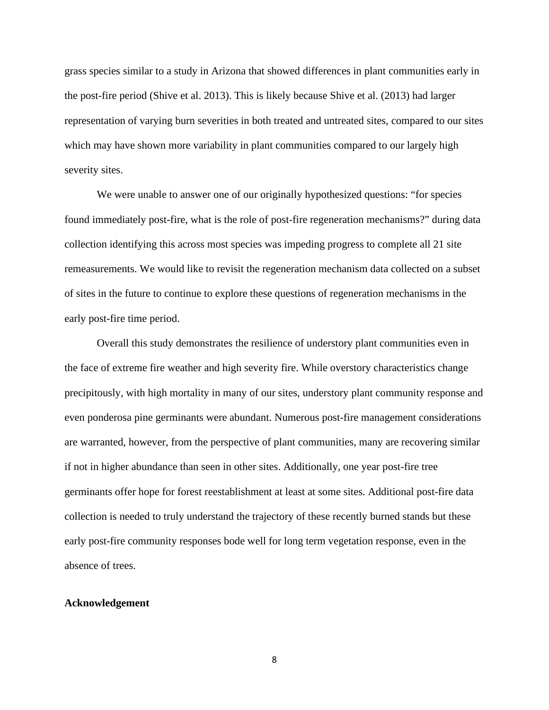grass species similar to a study in Arizona that showed differences in plant communities early in the post-fire period (Shive et al. 2013). This is likely because Shive et al. (2013) had larger representation of varying burn severities in both treated and untreated sites, compared to our sites which may have shown more variability in plant communities compared to our largely high severity sites.

We were unable to answer one of our originally hypothesized questions: "for species found immediately post-fire, what is the role of post-fire regeneration mechanisms?" during data collection identifying this across most species was impeding progress to complete all 21 site remeasurements. We would like to revisit the regeneration mechanism data collected on a subset of sites in the future to continue to explore these questions of regeneration mechanisms in the early post-fire time period.

Overall this study demonstrates the resilience of understory plant communities even in the face of extreme fire weather and high severity fire. While overstory characteristics change precipitously, with high mortality in many of our sites, understory plant community response and even ponderosa pine germinants were abundant. Numerous post-fire management considerations are warranted, however, from the perspective of plant communities, many are recovering similar if not in higher abundance than seen in other sites. Additionally, one year post-fire tree germinants offer hope for forest reestablishment at least at some sites. Additional post-fire data collection is needed to truly understand the trajectory of these recently burned stands but these early post-fire community responses bode well for long term vegetation response, even in the absence of trees.

## **Acknowledgement**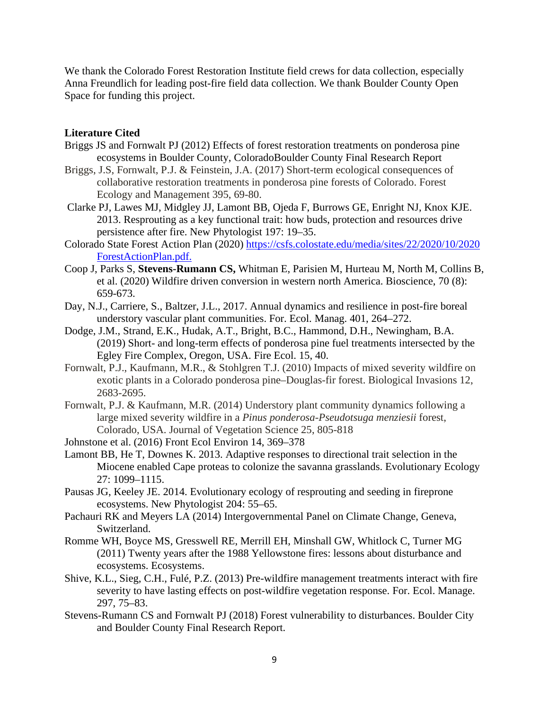We thank the Colorado Forest Restoration Institute field crews for data collection, especially Anna Freundlich for leading post-fire field data collection. We thank Boulder County Open Space for funding this project.

# **Literature Cited**

- Briggs JS and Fornwalt PJ (2012) Effects of forest restoration treatments on ponderosa pine ecosystems in Boulder County, ColoradoBoulder County Final Research Report
- Briggs, J.S, Fornwalt, P.J. & Feinstein, J.A. (2017) Short-term ecological consequences of collaborative restoration treatments in ponderosa pine forests of Colorado. Forest Ecology and Management 395, 69-80.
- Clarke PJ, Lawes MJ, Midgley JJ, Lamont BB, Ojeda F, Burrows GE, Enright NJ, Knox KJE. 2013. Resprouting as a key functional trait: how buds, protection and resources drive persistence after fire. New Phytologist 197: 19–35.
- Colorado State Forest Action Plan (2020) [https://csfs.colostate.edu/media/sites/22/2020/10/2020](https://csfs.colostate.edu/media/sites/22/2020/10/2020%20ForestActionPlan.pdf)  [ForestActionPlan.pdf.](https://csfs.colostate.edu/media/sites/22/2020/10/2020%20ForestActionPlan.pdf)
- Coop J, Parks S, **Stevens-Rumann CS,** Whitman E, Parisien M, Hurteau M, North M, Collins B, et al. (2020) Wildfire driven conversion in western north America. Bioscience, 70 (8): 659-673.
- Day, N.J., Carriere, S., Baltzer, J.L., 2017. Annual dynamics and resilience in post-fire boreal understory vascular plant communities. For. Ecol. Manag. 401, 264–272.
- Dodge, J.M., Strand, E.K., Hudak, A.T., Bright, B.C., Hammond, D.H., Newingham, B.A. (2019) Short- and long-term effects of ponderosa pine fuel treatments intersected by the Egley Fire Complex, Oregon, USA. Fire Ecol. 15, 40.
- Fornwalt, P.J., Kaufmann, M.R., & Stohlgren T.J. (2010) Impacts of mixed severity wildfire on exotic plants in a Colorado ponderosa pine–Douglas-fir forest. Biological Invasions 12, 2683-2695.
- Fornwalt, P.J. & Kaufmann, M.R. (2014) Understory plant community dynamics following a large mixed severity wildfire in a *Pinus ponderosa-Pseudotsuga menziesii* forest, Colorado, USA. Journal of Vegetation Science 25, 805-818

Johnstone et al. (2016) Front Ecol Environ 14, 369–378

- Lamont BB, He T, Downes K. 2013. Adaptive responses to directional trait selection in the Miocene enabled Cape proteas to colonize the savanna grasslands. Evolutionary Ecology 27: 1099–1115.
- Pausas JG, Keeley JE. 2014. Evolutionary ecology of resprouting and seeding in fireprone ecosystems. New Phytologist 204: 55–65.
- Pachauri RK and Meyers LA (2014) Intergovernmental Panel on Climate Change, Geneva, Switzerland.
- Romme WH, Boyce MS, Gresswell RE, Merrill EH, Minshall GW, Whitlock C, Turner MG (2011) Twenty years after the 1988 Yellowstone fires: lessons about disturbance and ecosystems. Ecosystems.
- Shive, K.L., Sieg, C.H., Fulé, P.Z. (2013) Pre-wildfire management treatments interact with fire severity to have lasting effects on post-wildfire vegetation response. For. Ecol. Manage. 297, 75–83.
- Stevens-Rumann CS and Fornwalt PJ (2018) Forest vulnerability to disturbances. Boulder City and Boulder County Final Research Report.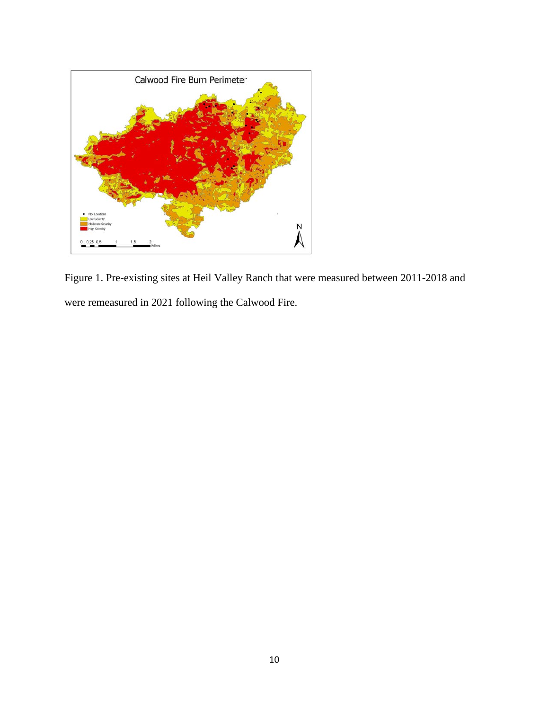

Figure 1. Pre-existing sites at Heil Valley Ranch that were measured between 2011-2018 and were remeasured in 2021 following the Calwood Fire.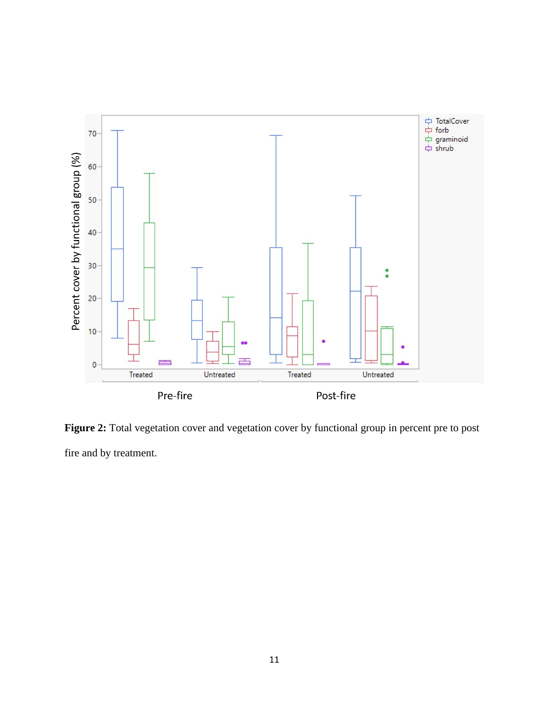

Figure 2: Total vegetation cover and vegetation cover by functional group in percent pre to post fire and by treatment.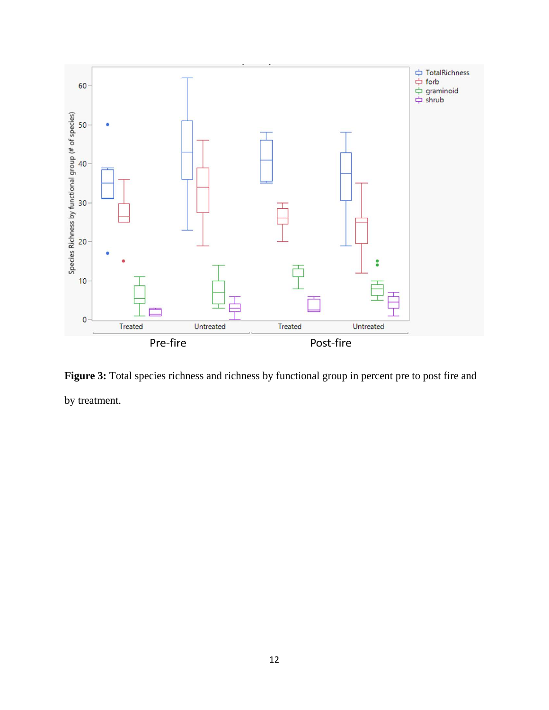

Figure 3: Total species richness and richness by functional group in percent pre to post fire and by treatment.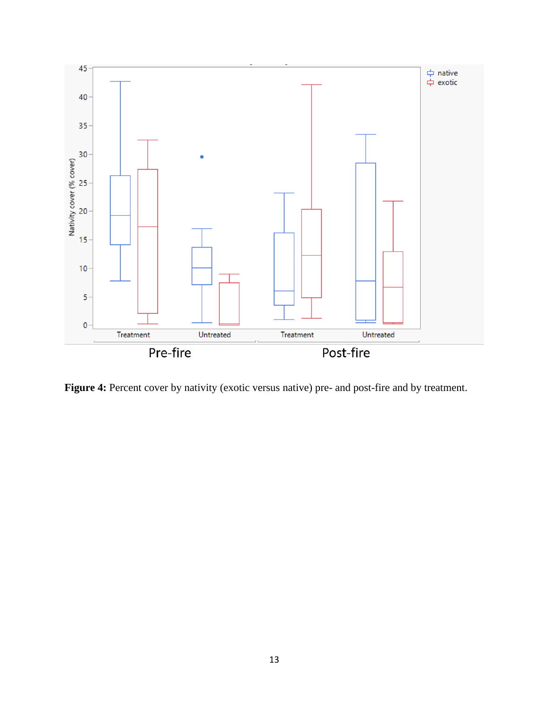

Figure 4: Percent cover by nativity (exotic versus native) pre- and post-fire and by treatment.